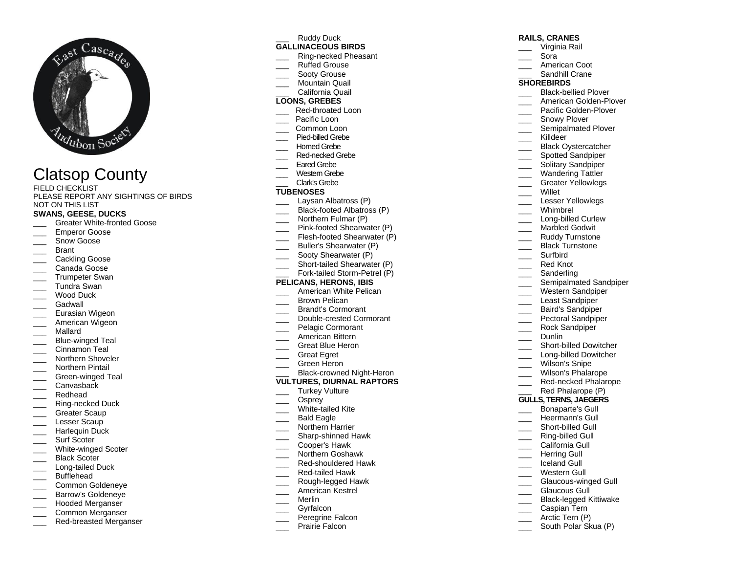

# Clatsop County

FIELD CHECKLIST PLEASE REPORT ANY SIGHTINGS OF BIRDS NOT ON THIS LIST

#### **SWANS, GEESE, DUCKS**

- \_\_\_ Greater White -fronted Goose
- \_\_\_ Emperor Goose
- Snow Goose
- **Brant**
- Cackling Goose
- Canada Goose
- Trumpeter Swan
- \_\_\_ Tundra Swan
- Wood Duck
- Gadwall
- Eurasian Wigeon
- American Wigeon
- \_\_\_ Mallard
- \_\_\_ Blue -winged Teal
- Cinnamon Teal
- Northern Shoveler
- Northern Pintail
- \_\_\_ Green -winged Teal
- Canvasback
- \_\_\_ Redhead
- \_\_\_ Ring -necked Duck
- Greater Scaup
- Lesser Scaup
- Harlequin Duck
- Surf Scoter
- \_\_\_ White -winged Scoter
- Black Scoter
- \_\_\_ Long-tailed Duck
- Bufflehead
- \_\_\_ Common Goldeneye
- \_\_\_ Barrow's Goldeneye
- \_\_\_ Hooded Merganser
- \_\_\_ Common Merganser
- \_\_\_ Red -breasted Merganser

Ruddy Duck

# **GALLINACEOUS BIRDS**

- \_\_\_ Ring -necked Pheasant
- \_\_\_ Ruffed Grouse
- Sooty Grouse Mountain Quail
- \_\_\_ California Quail

## **LOONS, GREBES**

- \_\_\_ Red -throated Loon
- Pacific Loon
- Common Loon
- **\_\_\_** Pied -billed Grebe
- Homed Grebe
- \_\_\_ Red -necked Grebe
- Fared Grebe
- Western Grebe
- Clark's Grebe

#### **TUBENOSES**

- Laysan Albatross (P)
- \_\_\_ Black -footed Albatross (P)
- Northern Fulmar (P)
- \_\_\_ Pink -footed Shearwater (P)
- \_\_\_ Flesh -footed Shearwater (P)
- Buller's Shearwater (P)
- Sooty Shearwater (P)
- \_\_\_ Short -tailed Shearwater (P)
- \_\_\_ Fork -tailed Storm -Petrel (P)

#### **PELICANS, HERONS, IBIS**

- American White Pelican
- Brown Pelican
- \_\_\_ Brandt's Cormorant
- \_\_\_ Double -crested Cormorant
- Pelagic Cormorant
- \_\_\_ American Bittern
- \_\_\_ Great Blue Heron
- Great Egret
- Green Heron
- \_\_\_ Black-crowned Night-Heron

#### **VULTURES, DIURNAL RAPTORS**

- Turkey Vulture
- Osprey
- \_\_\_ White -tailed Kite
- Bald Eagle
- Northern Harrier
- \_\_\_ Sharp -shinned Hawk
- \_\_\_ Cooper's Hawk
- \_\_\_ Northern Goshawk
- \_\_\_ Red -shouldered Hawk
- \_\_\_ Red -tailed Hawk
- \_\_\_ Rough -legged Hawk
- \_\_\_ American Kestrel
- \_\_\_ Merlin
- Gvrfalcon
- Peregrine Falcon
- Prairie Falcon

## **RAILS, CRANES**

- \_\_\_ Virginia Rail
- \_\_\_ Sora
- \_\_\_ American Coot
- Sandhill Crane

#### **SHOREBIRDS**

\_\_\_ Black -bellied Plover

Snowy Plover \_\_\_\_ Semipalmated Plover Killdeer

Willet

Dunlin

 $\overline{\phantom{a}}$ 

\_\_\_ Short -billed Dowitcher \_\_\_ Long -billed Dowitcher \_\_\_ Wilson's Snipe

Wilson's Phalarope \_\_\_ Red -necked Phalarope Red Phalarope (P) **GULLS, TERNS, JAEGERS** \_\_\_ Bonaparte's Gull Heermann's Gull \_\_\_ Short -billed Gull \_\_\_ Ring -billed Gull \_\_\_ California Gull Herring Gull \_\_\_ Iceland Gull

Western Gull \_\_\_ Glaucous -winged Gull Glaucous Gull \_\_\_ Black -legged Kittiwake Caspian Tern Arctic Tern (P) South Polar Skua (P)

\_\_\_ American Golden -Plover \_\_\_ Pacific Golden -Plover

Black Oystercatcher Spotted Sandpiper Solitary Sandpiper \_\_\_ Wandering Tattler Greater Yellowlegs

Lesser Yellowlegs \_\_\_ Whimbrel \_\_\_ Long -billed Curlew Marbled Godwit Ruddy Turnstone Black Turnstone \_\_\_ Surfbird \_\_\_ Red Knot Sanderling

Semipalmated Sandpiper Western Sandpiper Least Sandpiper \_\_\_ Baird's Sandpiper Pectoral Sandpiper Rock Sandpiper